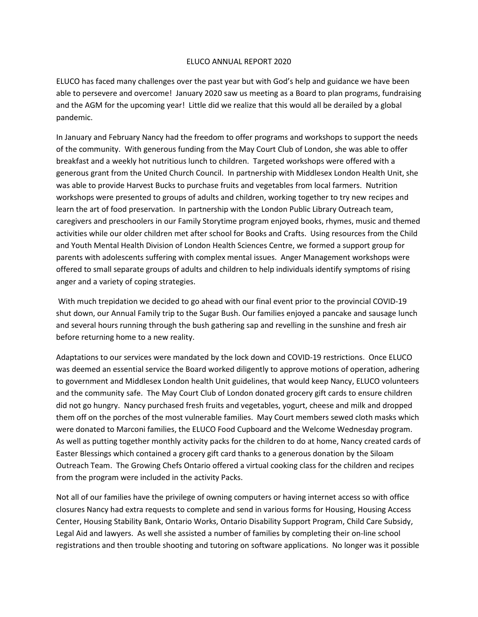## ELUCO ANNUAL REPORT 2020

ELUCO has faced many challenges over the past year but with God's help and guidance we have been able to persevere and overcome! January 2020 saw us meeting as a Board to plan programs, fundraising and the AGM for the upcoming year! Little did we realize that this would all be derailed by a global pandemic.

In January and February Nancy had the freedom to offer programs and workshops to support the needs of the community. With generous funding from the May Court Club of London, she was able to offer breakfast and a weekly hot nutritious lunch to children. Targeted workshops were offered with a generous grant from the United Church Council. In partnership with Middlesex London Health Unit, she was able to provide Harvest Bucks to purchase fruits and vegetables from local farmers. Nutrition workshops were presented to groups of adults and children, working together to try new recipes and learn the art of food preservation. In partnership with the London Public Library Outreach team, caregivers and preschoolers in our Family Storytime program enjoyed books, rhymes, music and themed activities while our older children met after school for Books and Crafts. Using resources from the Child and Youth Mental Health Division of London Health Sciences Centre, we formed a support group for parents with adolescents suffering with complex mental issues. Anger Management workshops were offered to small separate groups of adults and children to help individuals identify symptoms of rising anger and a variety of coping strategies.

With much trepidation we decided to go ahead with our final event prior to the provincial COVID-19 shut down, our Annual Family trip to the Sugar Bush. Our families enjoyed a pancake and sausage lunch and several hours running through the bush gathering sap and revelling in the sunshine and fresh air before returning home to a new reality.

Adaptations to our services were mandated by the lock down and COVID-19 restrictions. Once ELUCO was deemed an essential service the Board worked diligently to approve motions of operation, adhering to government and Middlesex London health Unit guidelines, that would keep Nancy, ELUCO volunteers and the community safe. The May Court Club of London donated grocery gift cards to ensure children did not go hungry. Nancy purchased fresh fruits and vegetables, yogurt, cheese and milk and dropped them off on the porches of the most vulnerable families. May Court members sewed cloth masks which were donated to Marconi families, the ELUCO Food Cupboard and the Welcome Wednesday program. As well as putting together monthly activity packs for the children to do at home, Nancy created cards of Easter Blessings which contained a grocery gift card thanks to a generous donation by the Siloam Outreach Team. The Growing Chefs Ontario offered a virtual cooking class for the children and recipes from the program were included in the activity Packs.

Not all of our families have the privilege of owning computers or having internet access so with office closures Nancy had extra requests to complete and send in various forms for Housing, Housing Access Center, Housing Stability Bank, Ontario Works, Ontario Disability Support Program, Child Care Subsidy, Legal Aid and lawyers. As well she assisted a number of families by completing their on-line school registrations and then trouble shooting and tutoring on software applications. No longer was it possible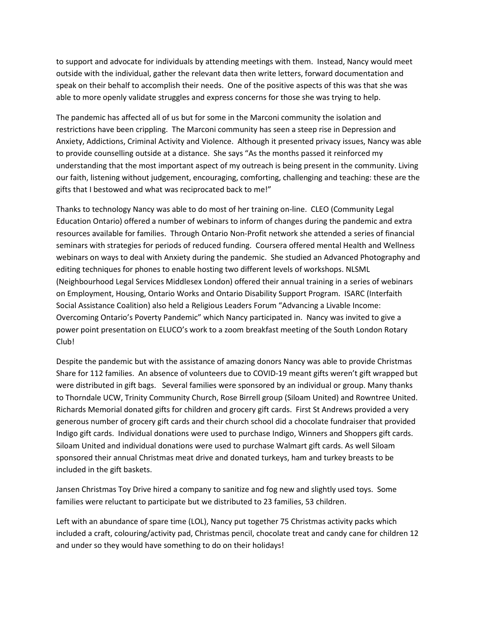to support and advocate for individuals by attending meetings with them. Instead, Nancy would meet outside with the individual, gather the relevant data then write letters, forward documentation and speak on their behalf to accomplish their needs. One of the positive aspects of this was that she was able to more openly validate struggles and express concerns for those she was trying to help.

The pandemic has affected all of us but for some in the Marconi community the isolation and restrictions have been crippling. The Marconi community has seen a steep rise in Depression and Anxiety, Addictions, Criminal Activity and Violence. Although it presented privacy issues, Nancy was able to provide counselling outside at a distance. She says "As the months passed it reinforced my understanding that the most important aspect of my outreach is being present in the community. Living our faith, listening without judgement, encouraging, comforting, challenging and teaching: these are the gifts that I bestowed and what was reciprocated back to me!"

Thanks to technology Nancy was able to do most of her training on-line. CLEO (Community Legal Education Ontario) offered a number of webinars to inform of changes during the pandemic and extra resources available for families. Through Ontario Non-Profit network she attended a series of financial seminars with strategies for periods of reduced funding. Coursera offered mental Health and Wellness webinars on ways to deal with Anxiety during the pandemic. She studied an Advanced Photography and editing techniques for phones to enable hosting two different levels of workshops. NLSML (Neighbourhood Legal Services Middlesex London) offered their annual training in a series of webinars on Employment, Housing, Ontario Works and Ontario Disability Support Program. ISARC (Interfaith Social Assistance Coalition) also held a Religious Leaders Forum "Advancing a Livable Income: Overcoming Ontario's Poverty Pandemic" which Nancy participated in. Nancy was invited to give a power point presentation on ELUCO's work to a zoom breakfast meeting of the South London Rotary Club!

Despite the pandemic but with the assistance of amazing donors Nancy was able to provide Christmas Share for 112 families. An absence of volunteers due to COVID-19 meant gifts weren't gift wrapped but were distributed in gift bags. Several families were sponsored by an individual or group. Many thanks to Thorndale UCW, Trinity Community Church, Rose Birrell group (Siloam United) and Rowntree United. Richards Memorial donated gifts for children and grocery gift cards. First St Andrews provided a very generous number of grocery gift cards and their church school did a chocolate fundraiser that provided Indigo gift cards. Individual donations were used to purchase Indigo, Winners and Shoppers gift cards. Siloam United and individual donations were used to purchase Walmart gift cards. As well Siloam sponsored their annual Christmas meat drive and donated turkeys, ham and turkey breasts to be included in the gift baskets.

Jansen Christmas Toy Drive hired a company to sanitize and fog new and slightly used toys. Some families were reluctant to participate but we distributed to 23 families, 53 children.

Left with an abundance of spare time (LOL), Nancy put together 75 Christmas activity packs which included a craft, colouring/activity pad, Christmas pencil, chocolate treat and candy cane for children 12 and under so they would have something to do on their holidays!